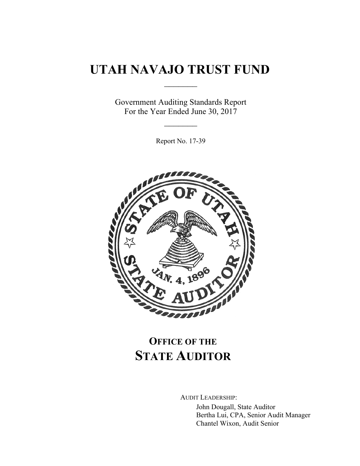# **UTAH NAVAJO TRUST FUND**

 $\frac{1}{2}$ 

Government Auditing Standards Report For the Year Ended June 30, 2017

 $\frac{1}{2}$ 

Report No. 17-39



## **OFFICE OF THE STATE AUDITOR**

AUDIT LEADERSHIP:

John Dougall, State Auditor Bertha Lui, CPA, Senior Audit Manager Chantel Wixon, Audit Senior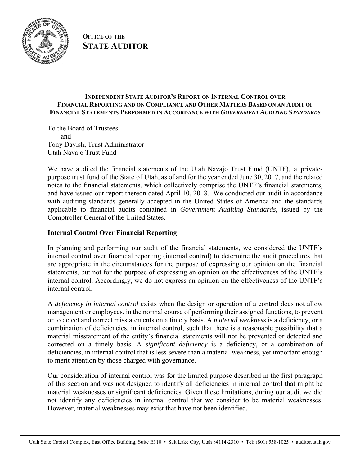

**OFFICE OF THE STATE AUDITOR**

#### **INDEPENDENT STATE AUDITOR'S REPORT ON INTERNAL CONTROL OVER FINANCIAL REPORTING AND ON COMPLIANCE AND OTHER MATTERS BASED ON AN AUDIT OF FINANCIAL STATEMENTS PERFORMED IN ACCORDANCE WITH** *GOVERNMENT AUDITING STANDARDS*

To the Board of Trustees and Tony Dayish, Trust Administrator Utah Navajo Trust Fund

We have audited the financial statements of the Utah Navajo Trust Fund (UNTF), a privatepurpose trust fund of the State of Utah, as of and for the year ended June 30, 2017, and the related notes to the financial statements, which collectively comprise the UNTF's financial statements, and have issued our report thereon dated April 10, 2018. We conducted our audit in accordance with auditing standards generally accepted in the United States of America and the standards applicable to financial audits contained in *Government Auditing Standards*, issued by the Comptroller General of the United States.

### **Internal Control Over Financial Reporting**

In planning and performing our audit of the financial statements, we considered the UNTF's internal control over financial reporting (internal control) to determine the audit procedures that are appropriate in the circumstances for the purpose of expressing our opinion on the financial statements, but not for the purpose of expressing an opinion on the effectiveness of the UNTF's internal control. Accordingly, we do not express an opinion on the effectiveness of the UNTF's internal control.

A *deficiency in internal control* exists when the design or operation of a control does not allow management or employees, in the normal course of performing their assigned functions, to prevent or to detect and correct misstatements on a timely basis. A *material weakness* is a deficiency, or a combination of deficiencies, in internal control, such that there is a reasonable possibility that a material misstatement of the entity's financial statements will not be prevented or detected and corrected on a timely basis. A *significant deficiency* is a deficiency, or a combination of deficiencies, in internal control that is less severe than a material weakness, yet important enough to merit attention by those charged with governance.

Our consideration of internal control was for the limited purpose described in the first paragraph of this section and was not designed to identify all deficiencies in internal control that might be material weaknesses or significant deficiencies. Given these limitations, during our audit we did not identify any deficiencies in internal control that we consider to be material weaknesses. However, material weaknesses may exist that have not been identified.